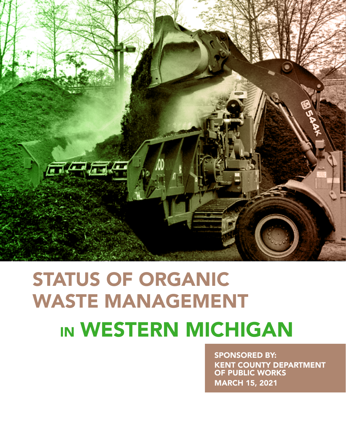

# STATUS OF ORGANIC WASTE MANAGEMENT IN WESTERN MICHIGAN

SPONSORED BY: KENT COUNTY DEPARTMENT OF PUBLIC WORKS MARCH 15, 2021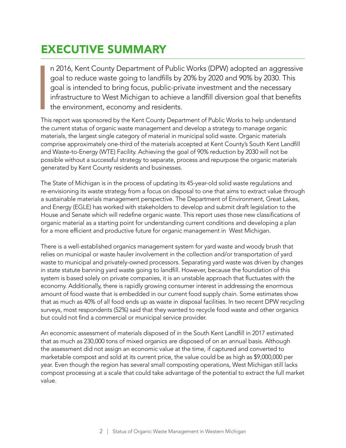### EXECUTIVE SUMMARY

n 2016, Kent County Department of Public Works (DPW) adopted an aggressive goal to reduce waste going to landfills by 20% by 2020 and 90% by 2030. This goal is intended to bring focus, public-private investment and the necessary infrastructure to West Michigan to achieve a landfill diversion goal that benefits the environment, economy and residents.

**I**<br>I<br>I his This report was sponsored by the Kent County Department of Public Works to help understand the current status of organic waste management and develop a strategy to manage organic materials, the largest single category of material in municipal solid waste. Organic materials comprise approximately one-third of the materials accepted at Kent County's South Kent Landfill and Waste-to-Energy (WTE) Facility. Achieving the goal of 90% reduction by 2030 will not be possible without a successful strategy to separate, process and repurpose the organic materials generated by Kent County residents and businesses.

The State of Michigan is in the process of updating its 45-year-old solid waste regulations and re-envisioning its waste strategy from a focus on disposal to one that aims to extract value through a sustainable materials management perspective. The Department of Environment, Great Lakes, and Energy (EGLE) has worked with stakeholders to develop and submit draft legislation to the House and Senate which will redefine organic waste. This report uses those new classifications of organic material as a starting point for understanding current conditions and developing a plan for a more efficient and productive future for organic management in West Michigan.

There is a well-established organics management system for yard waste and woody brush that relies on municipal or waste hauler involvement in the collection and/or transportation of yard waste to municipal and privately-owned processors. Separating yard waste was driven by changes in state statute banning yard waste going to landfill. However, because the foundation of this system is based solely on private companies, it is an unstable approach that fluctuates with the economy. Additionally, there is rapidly growing consumer interest in addressing the enormous amount of food waste that is embedded in our current food supply chain. Some estimates show that as much as 40% of all food ends up as waste in disposal facilities. In two recent DPW recycling surveys, most respondents (52%) said that they wanted to recycle food waste and other organics but could not find a commercial or municipal service provider.

An economic assessment of materials disposed of in the South Kent Landfill in 2017 estimated that as much as 230,000 tons of mixed organics are disposed of on an annual basis. Although the assessment did not assign an economic value at the time, if captured and converted to marketable compost and sold at its current price, the value could be as high as \$9,000,000 per year. Even though the region has several small composting operations, West Michigan still lacks compost processing at a scale that could take advantage of the potential to extract the full market value.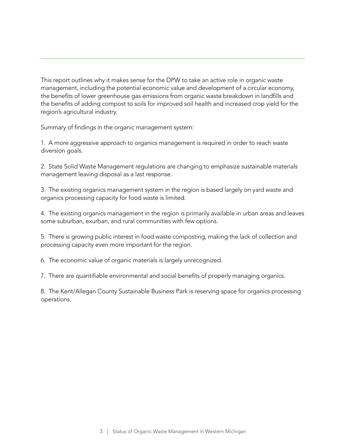This report outlines why it makes sense for the DPW to take an active role in organic waste management, including the potential economic value and development of a circular economy, the benefits of lower greenhouse gas emissions from organic waste breakdown in landfills and the benefits of adding compost to soils for improved soil health and increased crop yield for the region's agricultural industry.

Summary of findings in the organic management system:

1. A more aggressive approach to organics management is required in order to reach waste diversion goals.

2. State Solid Waste Management regulations are changing to emphasize sustainable materials management leaving disposal as a last response.

3. The existing organics management system in the region is based largely on yard waste and organics processing capacity for food waste is limited.

4. The existing organics management in the region is primarily available in urban areas and leaves some suburban, exurban, and rural communities with few options.

5. There is growing public interest in food waste composting, making the lack of collection and processing capacity even more important for the region.

6. The economic value of organic materials is largely unrecognized.

7. There are quantifiable environmental and social benefits of properly managing organics.

8. The Kent/Allegan County Sustainable Business Park is reserving space for organics processing operations.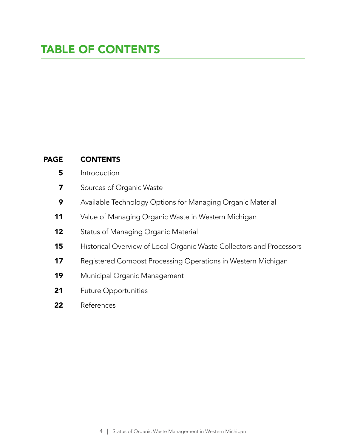### TABLE OF CONTENTS

#### **CONTENTS** PAGE

- **Introduction** 5
- Sources of Organic Waste 7
- Available Technology Options for Managing Organic Material 9
- Value of Managing Organic Waste in Western Michigan 11
- Status of Managing Organic Material 12
- Historical Overview of Local Organic Waste Collectors and Processors 15
- Registered Compost Processing Operations in Western Michigan 17
- Municipal Organic Management 19
- Future Opportunities 21
- References 22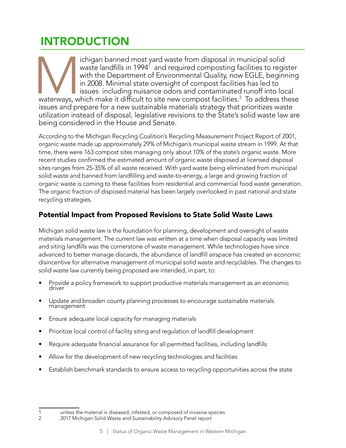## INTRODUCTION

ichigan banned most yard waste from disposal in municipal solid<br>waste landfills in 1994<sup>1</sup> and required composting facilities to regis<br>with the Department of Environmental Quality, now EGLE, beginn<br>in 2008. Minimal state o waste landfills in 1994 $^{\rm 1}$  and required composting facilities to register with the Department of Environmental Quality, now EGLE, beginning in 2008. Minimal state oversight of compost facilities has led to issues including nuisance odors and contaminated runoff into local

waterways, which make it difficult to site new compost facilities. $^2$  To address these issues and prepare for a new sustainable materials strategy that prioritizes waste utilization instead of disposal, legislative revisions to the State's solid waste law are being considered in the House and Senate.

According to the Michigan Recycling Coalition's Recycling Measurement Project Report of 2001, organic waste made up approximately 29% of Michigan's municipal waste stream in 1999. At that time, there were 163 compost sites managing only about 10% of the state's organic waste. More recent studies confirmed the estimated amount of organic waste disposed at licensed disposal sites ranges from 25-35% of all waste received. With yard waste being eliminated from municipal solid waste and banned from landfilling and waste-to-energy, a large and growing fraction of organic waste is coming to these facilities from residential and commercial food waste generation. The organic fraction of disposed material has been largely overlooked in past national and state recycling strategies.

#### Potential Impact from Proposed Revisions to State Solid Waste Laws

Michigan solid waste law is the foundation for planning, development and oversight of waste materials management. The current law was written at a time when disposal capacity was limited and siting landfills was the cornerstone of waste management. While technologies have since advanced to better manage discards, the abundance of landfill airspace has created an economic disincentive for alternative management of municipal solid waste and recyclables. The changes to solid waste law currently being proposed are intended, in part, to:

- Provide a policy framework to support productive materials management as an economic driver
- Update and broaden county planning processes to encourage sustainable materials management
- Ensure adequate local capacity for managing materials
- Prioritize local control of facility siting and regulation of landfill development
- Require adequate financial assurance for all permitted facilities, including landfills
- Allow for the development of new recycling technologies and facilities
- Establish benchmark standards to ensure access to recycling opportunities across the state

<sup>1</sup> unless the material is diseased, infested, or composed of invasive species<br>2 2017 Michigan Solid Waste and Sustainability Advisory Panel report

<sup>2017</sup> Michigan Solid Waste and Sustainability Advisory Panel report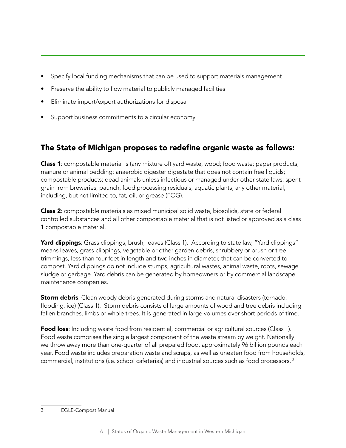- Specify local funding mechanisms that can be used to support materials management
- Preserve the ability to flow material to publicly managed facilities
- Eliminate import/export authorizations for disposal
- Support business commitments to a circular economy

### The State of Michigan proposes to redefine organic waste as follows:

**Class 1**: compostable material is (any mixture of) yard waste; wood; food waste; paper products; manure or animal bedding; anaerobic digester digestate that does not contain free liquids; compostable products; dead animals unless infectious or managed under other state laws; spent grain from breweries; paunch; food processing residuals; aquatic plants; any other material, including, but not limited to, fat, oil, or grease (FOG).

Class 2: compostable materials as mixed municipal solid waste, biosolids, state or federal controlled substances and all other compostable material that is not listed or approved as a class 1 compostable material.

Yard clippings: Grass clippings, brush, leaves (Class 1). According to state law, "Yard clippings" means leaves, grass clippings, vegetable or other garden debris, shrubbery or brush or tree trimmings, less than four feet in length and two inches in diameter, that can be converted to compost. Yard clippings do not include stumps, agricultural wastes, animal waste, roots, sewage sludge or garbage. Yard debris can be generated by homeowners or by commercial landscape maintenance companies.

**Storm debris:** Clean woody debris generated during storms and natural disasters (tornado, flooding, ice) (Class 1). Storm debris consists of large amounts of wood and tree debris including fallen branches, limbs or whole trees. It is generated in large volumes over short periods of time.

**Food loss**: Including waste food from residential, commercial or agricultural sources (Class 1). Food waste comprises the single largest component of the waste stream by weight. Nationally we throw away more than one-quarter of all prepared food, approximately 96 billion pounds each year. Food waste includes preparation waste and scraps, as well as uneaten food from households, commercial, institutions (i.e. school cafeterias) and industrial sources such as food processors. 3<sup>1</sup>

<sup>3</sup> EGLE-Compost Manual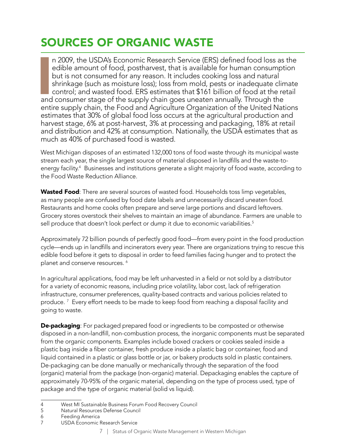### SOURCES OF ORGANIC WASTE

I n 2009, the USDA's Economic Research Service (ERS) defined food loss as the edible amount of food, postharvest, that is available for human consumption but is not consumed for any reason. It includes cooking loss and natural shrinkage (such as moisture loss); loss from mold, pests or inadequate climate control; and wasted food. ERS estimates that \$161 billion of food at the retail and consumer stage of the supply chain goes uneaten annually. Through the entire supply chain, the Food and Agriculture Organization of the United Nations estimates that 30% of global food loss occurs at the agricultural production and harvest stage, 6% at post-harvest, 3% at processing and packaging, 18% at retail and distribution and 42% at consumption. Nationally, the USDA estimates that as much as 40% of purchased food is wasted.

West Michigan disposes of an estimated 132,000 tons of food waste through its municipal waste stream each year, the single largest source of material disposed in landfills and the waste-toenergy facility.4 Businesses and institutions generate a slight majority of food waste, according to the Food Waste Reduction Alliance.

Wasted Food: There are several sources of wasted food. Households toss limp vegetables, as many people are confused by food date labels and unnecessarily discard uneaten food. Restaurants and home cooks often prepare and serve large portions and discard leftovers. Grocery stores overstock their shelves to maintain an image of abundance. Farmers are unable to sell produce that doesn't look perfect or dump it due to economic variabilities.<sup>5</sup>

Approximately 72 billion pounds of perfectly good food—from every point in the food production cycle—ends up in landfills and incinerators every year. There are organizations trying to rescue this edible food before it gets to disposal in order to feed families facing hunger and to protect the planet and conserve resources. <sup>6</sup>

In agricultural applications, food may be left unharvested in a field or not sold by a distributor for a variety of economic reasons, including price volatility, labor cost, lack of refrigeration infrastructure, consumer preferences, quality-based contracts and various policies related to produce. <sup>7</sup> Every effort needs to be made to keep food from reaching a disposal facility and going to waste.

**De-packaging**: For packaged prepared food or ingredients to be composted or otherwise disposed in a non-landfill, non-combustion process, the inorganic components must be separated from the organic components. Examples include boxed crackers or cookies sealed inside a plastic bag inside a fiber container, fresh produce inside a plastic bag or container, food and liquid contained in a plastic or glass bottle or jar, or bakery products sold in plastic containers. De-packaging can be done manually or mechanically through the separation of the food (organic) material from the package (non-organic) material. Depackaging enables the capture of approximately 70-95% of the organic material, depending on the type of process used, type of package and the type of organic material (solid vs liquid).

5 Natural Resources Defense Council

7 USDA Economic Research Service

<sup>4</sup> West MI Sustainable Business Forum Food Recovery Council

<sup>6</sup> Feeding America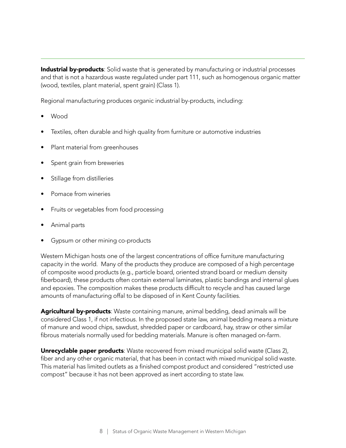Industrial by-products: Solid waste that is generated by manufacturing or industrial processes and that is not a hazardous waste regulated under part 111, such as homogenous organic matter (wood, textiles, plant material, spent grain) (Class 1).

Regional manufacturing produces organic industrial by-products, including:

- Wood
- Textiles, often durable and high quality from furniture or automotive industries
- Plant material from greenhouses
- Spent grain from breweries
- Stillage from distilleries
- Pomace from wineries
- Fruits or vegetables from food processing
- Animal parts
- Gypsum or other mining co-products

Western Michigan hosts one of the largest concentrations of office furniture manufacturing capacity in the world. Many of the products they produce are composed of a high percentage of composite wood products (e.g., particle board, oriented strand board or medium density fiberboard), these products often contain external laminates, plastic bandings and internal glues and epoxies. The composition makes these products difficult to recycle and has caused large amounts of manufacturing offal to be disposed of in Kent County facilities.

Agricultural by-products: Waste containing manure, animal bedding, dead animals will be considered Class 1, if not infectious. In the proposed state law, animal bedding means a mixture of manure and wood chips, sawdust, shredded paper or cardboard, hay, straw or other similar fibrous materials normally used for bedding materials. Manure is often managed on-farm.

**Unrecyclable paper products**: Waste recovered from mixed municipal solid waste (Class 2), fiber and any other organic material, that has been in contact with mixed municipal solid waste. This material has limited outlets as a finished compost product and considered "restricted use compost" because it has not been approved as inert according to state law.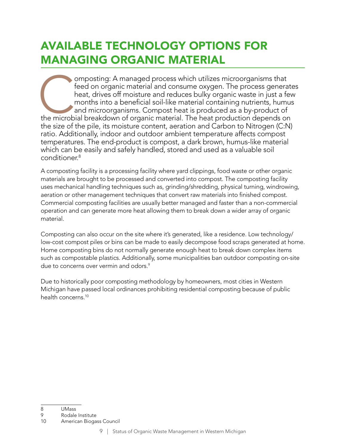### AVAILABLE TECHNOLOGY OPTIONS FOR MANAGING ORGANIC MATERIAL

omposting: A managed process which utilizes microorganisms that feed on organic material and consume oxygen. The process generate heat, drives off moisture and reduces bulky organic waste in just a few months into a benefi feed on organic material and consume oxygen. The process generates heat, drives off moisture and reduces bulky organic waste in just a few months into a beneficial soil-like material containing nutrients, humus and microorganisms. Compost heat is produced as a by-product of the size of the pile, its moisture content, aeration and Carbon to Nitrogen (C:N) ratio. Additionally, indoor and outdoor ambient temperature affects compost temperatures. The end-product is compost, a dark brown, humus-like material which can be easily and safely handled, stored and used as a valuable soil conditioner.<sup>8</sup>

A composting facility is a processing facility where yard clippings, food waste or other organic materials are brought to be processed and converted into compost. The composting facility uses mechanical handling techniques such as, grinding/shredding, physical turning, windrowing, aeration or other management techniques that convert raw materials into finished compost. Commercial composting facilities are usually better managed and faster than a non-commercial operation and can generate more heat allowing them to break down a wider array of organic material.

Composting can also occur on the site where it's generated, like a residence. Low technology/ low-cost compost piles or bins can be made to easily decompose food scraps generated at home. Home composting bins do not normally generate enough heat to break down complex items such as compostable plastics. Additionally, some municipalities ban outdoor composting on-site due to concerns over vermin and odors.<sup>9</sup>

Due to historically poor composting methodology by homeowners, most cities in Western Michigan have passed local ordinances prohibiting residential composting because of public health concerns.<sup>10</sup>

<sup>8</sup> UMass

<sup>9</sup> Rodale Institute

<sup>10</sup> American Biogass Council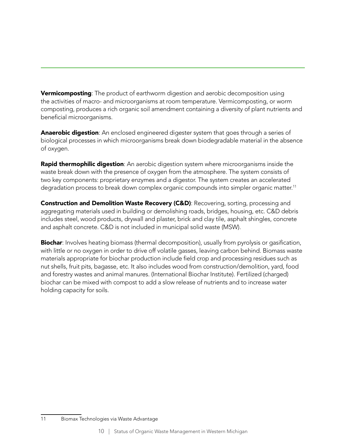**Vermicomposting**: The product of earthworm digestion and aerobic decomposition using the activities of macro- and microorganisms at room temperature. Vermicomposting, or worm composting, produces a rich organic soil amendment containing a diversity of plant nutrients and beneficial microorganisms.

**Anaerobic digestion**: An enclosed engineered digester system that goes through a series of biological processes in which microorganisms break down biodegradable material in the absence of oxygen.

**Rapid thermophilic digestion:** An aerobic digestion system where microorganisms inside the waste break down with the presence of oxygen from the atmosphere. The system consists of two key components: proprietary enzymes and a digestor. The system creates an accelerated degradation process to break down complex organic compounds into simpler organic matter.<sup>11</sup>

Construction and Demolition Waste Recovery (C&D): Recovering, sorting, processing and aggregating materials used in building or demolishing roads, bridges, housing, etc. C&D debris includes steel, wood products, drywall and plaster, brick and clay tile, asphalt shingles, concrete and asphalt concrete. C&D is not included in municipal solid waste (MSW).

**Biochar:** Involves heating biomass (thermal decomposition), usually from pyrolysis or gasification, with little or no oxygen in order to drive off volatile gasses, leaving carbon behind. Biomass waste materials appropriate for biochar production include field crop and processing residues such as nut shells, fruit pits, bagasse, etc. It also includes wood from construction/demolition, yard, food and forestry wastes and animal manures. (International Biochar Institute). Fertilized (charged) biochar can be mixed with compost to add a slow release of nutrients and to increase water holding capacity for soils.

<sup>11</sup> Biomax Technologies via Waste Advantage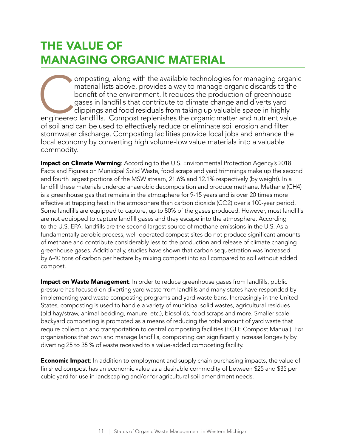### THE VALUE OF MANAGING ORGANIC MATERIAL

omposting, along with the available technologies for managing organic material lists above, provides a way to manage organic discards to the benefit of the environment. It reduces the production of greenhouse gases in land material lists above, provides a way to manage organic discards to the benefit of the environment. It reduces the production of greenhouse gases in landfills that contribute to climate change and diverts yard clippings and food residuals from taking up valuable space in highly of soil and can be used to effectively reduce or eliminate soil erosion and filter stormwater discharge. Composting facilities provide local jobs and enhance the local economy by converting high volume-low value materials into a valuable commodity.

Impact on Climate Warming: According to the U.S. Environmental Protection Agency's 2018 Facts and Figures on Municipal Solid Waste, food scraps and yard trimmings make up the second and fourth largest portions of the MSW stream, 21.6% and 12.1% respectively (by weight). In a landfill these materials undergo anaerobic decomposition and produce methane. Methane (CH4) is a greenhouse gas that remains in the atmosphere for 9-15 years and is over 20 times more effective at trapping heat in the atmosphere than carbon dioxide (CO2) over a 100-year period. Some landfills are equipped to capture, up to 80% of the gases produced. However, most landfills are not equipped to capture landfill gases and they escape into the atmosphere. According to the U.S. EPA, landfills are the second largest source of methane emissions in the U.S. As a fundamentally aerobic process, well-operated compost sites do not produce significant amounts of methane and contribute considerably less to the production and release of climate changing greenhouse gases. Additionally, studies have shown that carbon sequestration was increased by 6-40 tons of carbon per hectare by mixing compost into soil compared to soil without added compost.

Impact on Waste Management: In order to reduce greenhouse gases from landfills, public pressure has focused on diverting yard waste from landfills and many states have responded by implementing yard waste composting programs and yard waste bans. Increasingly in the United States, composting is used to handle a variety of municipal solid wastes, agricultural residues (old hay/straw, animal bedding, manure, etc.), biosolids, food scraps and more. Smaller scale backyard composting is promoted as a means of reducing the total amount of yard waste that require collection and transportation to central composting facilities (EGLE Compost Manual). For organizations that own and manage landfills, composting can significantly increase longevity by diverting 25 to 35 % of waste received to a value-added composting facility.

**Economic Impact:** In addition to employment and supply chain purchasing impacts, the value of finished compost has an economic value as a desirable commodity of between \$25 and \$35 per cubic yard for use in landscaping and/or for agricultural soil amendment needs.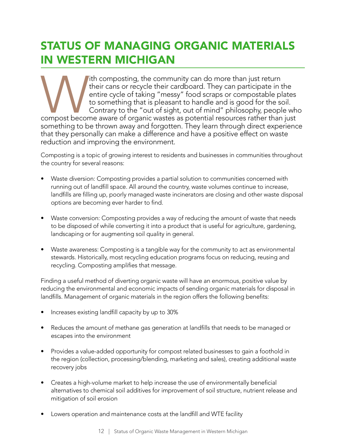### STATUS OF MANAGING ORGANIC MATERIALS IN WESTERN MICHIGAN

The community can do more than just return<br>
their cans or recycle their cardboard. They can participate in the<br>
entire cycle of taking "messy" food scraps or compostable plates<br>
to something that is pleasant to handle and their cans or recycle their cardboard. They can participate in the entire cycle of taking "messy" food scraps or compostable plates to something that is pleasant to handle and is good for the soil. Contrary to the "out of sight, out of mind" philosophy, people who something to be thrown away and forgotten. They learn through direct experience that they personally can make a difference and have a positive effect on waste reduction and improving the environment.

Composting is a topic of growing interest to residents and businesses in communities throughout the country for several reasons:

- Waste diversion: Composting provides a partial solution to communities concerned with running out of landfill space. All around the country, waste volumes continue to increase, landfills are filling up, poorly managed waste incinerators are closing and other waste disposal options are becoming ever harder to find.
- Waste conversion: Composting provides a way of reducing the amount of waste that needs to be disposed of while converting it into a product that is useful for agriculture, gardening, landscaping or for augmenting soil quality in general.
- Waste awareness: Composting is a tangible way for the community to act as environmental stewards. Historically, most recycling education programs focus on reducing, reusing and recycling. Composting amplifies that message.

Finding a useful method of diverting organic waste will have an enormous, positive value by reducing the environmental and economic impacts of sending organic materials for disposal in landfills. Management of organic materials in the region offers the following benefits:

- Increases existing landfill capacity by up to 30%
- Reduces the amount of methane gas generation at landfills that needs to be managed or escapes into the environment
- Provides a value-added opportunity for compost related businesses to gain a foothold in the region (collection, processing/blending, marketing and sales), creating additional waste recovery jobs
- Creates a high-volume market to help increase the use of environmentally beneficial alternatives to chemical soil additives for improvement of soil structure, nutrient release and mitigation of soil erosion
- Lowers operation and maintenance costs at the landfill and WTE facility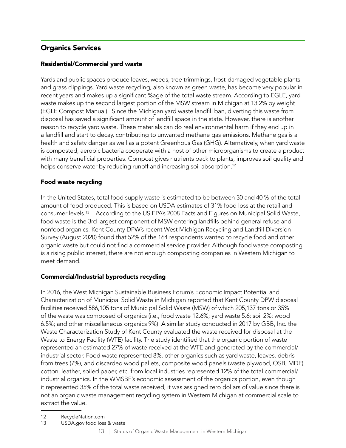#### Organics Services

#### Residential/Commercial yard waste

Yards and public spaces produce leaves, weeds, tree trimmings, frost-damaged vegetable plants and grass clippings. Yard waste recycling, also known as green waste, has become very popular in recent years and makes up a significant %age of the total waste stream. According to EGLE, yard waste makes up the second largest portion of the MSW stream in Michigan at 13.2% by weight (EGLE Compost Manual). Since the Michigan yard waste landfill ban, diverting this waste from disposal has saved a significant amount of landfill space in the state. However, there is another reason to recycle yard waste. These materials can do real environmental harm if they end up in a landfill and start to decay, contributing to unwanted methane gas emissions. Methane gas is a health and safety danger as well as a potent Greenhous Gas (GHG). Alternatively, when yard waste is composted, aerobic bacteria cooperate with a host of other microorganisms to create a product with many beneficial properties. Compost gives nutrients back to plants, improves soil quality and helps conserve water by reducing runoff and increasing soil absorption.<sup>12</sup>

#### Food waste recycling

In the United States, total food supply waste is estimated to be between 30 and 40 % of the total amount of food produced. This is based on USDA estimates of 31% food loss at the retail and consumer levels.13 According to the US EPA's 2008 Facts and Figures on Municipal Solid Waste, food waste is the 3rd largest component of MSW entering landfills behind general refuse and nonfood organics. Kent County DPW's recent West Michigan Recycling and Landfill Diversion Survey (August 2020) found that 52% of the 164 respondents wanted to recycle food and other organic waste but could not find a commercial service provider. Although food waste composting is a rising public interest, there are not enough composting companies in Western Michigan to meet demand.

#### Commercial/Industrial byproducts recycling

In 2016, the West Michigan Sustainable Business Forum's Economic Impact Potential and Characterization of Municipal Solid Waste in Michigan reported that Kent County DPW disposal facilities received 586,105 tons of Municipal Solid Waste (MSW) of which 205,137 tons or 35% of the waste was composed of organics (i.e., food waste 12.6%; yard waste 5.6; soil 2%; wood 6.5%; and other miscellaneous organics 9%). A similar study conducted in 2017 by GBB, Inc. the Waste Characterization Study of Kent County evaluated the waste received for disposal at the Waste to Energy Facility (WTE) facility. The study identified that the organic portion of waste represented an estimated 27% of waste received at the WTE and generated by the commercial/ industrial sector. Food waste represented 8%, other organics such as yard waste, leaves, debris from trees (7%), and discarded wood pallets, composite wood panels (waste plywood, OSB, MDF), cotton, leather, soiled paper, etc. from local industries represented 12% of the total commercial/ industrial organics. In the WMSBF's economic assessment of the organics portion, even though it represented 35% of the total waste received, it was assigned zero dollars of value since there is not an organic waste management recycling system in Western Michigan at commercial scale to extract the value.

13 USDA.gov food loss & waste

<sup>12</sup> RecycleNation.com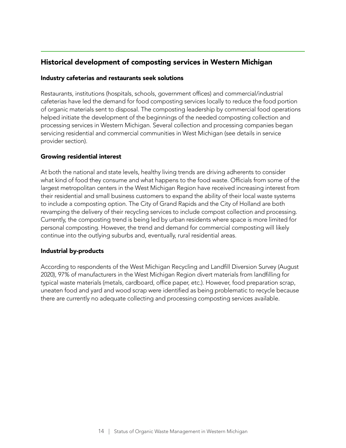#### Historical development of composting services in Western Michigan

#### Industry cafeterias and restaurants seek solutions

Restaurants, institutions (hospitals, schools, government offices) and commercial/industrial cafeterias have led the demand for food composting services locally to reduce the food portion of organic materials sent to disposal. The composting leadership by commercial food operations helped initiate the development of the beginnings of the needed composting collection and processing services in Western Michigan. Several collection and processing companies began servicing residential and commercial communities in West Michigan (see details in service provider section).

#### Growing residential interest

At both the national and state levels, healthy living trends are driving adherents to consider what kind of food they consume and what happens to the food waste. Officials from some of the largest metropolitan centers in the West Michigan Region have received increasing interest from their residential and small business customers to expand the ability of their local waste systems to include a composting option. The City of Grand Rapids and the City of Holland are both revamping the delivery of their recycling services to include compost collection and processing. Currently, the composting trend is being led by urban residents where space is more limited for personal composting. However, the trend and demand for commercial composting will likely continue into the outlying suburbs and, eventually, rural residential areas.

#### Industrial by-products

According to respondents of the West Michigan Recycling and Landfill Diversion Survey (August 2020), 97% of manufacturers in the West Michigan Region divert materials from landfilling for typical waste materials (metals, cardboard, office paper, etc.). However, food preparation scrap, uneaten food and yard and wood scrap were identified as being problematic to recycle because there are currently no adequate collecting and processing composting services available.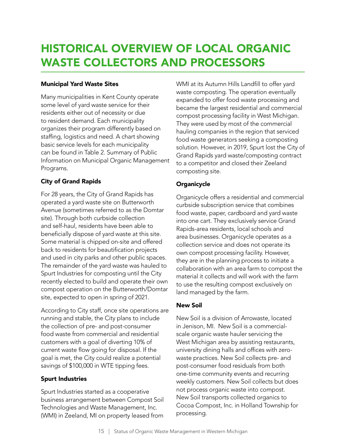### HISTORICAL OVERVIEW OF LOCAL ORGANIC WASTE COLLECTORS AND PROCESSORS

#### Municipal Yard Waste Sites

Many municipalities in Kent County operate some level of yard waste service for their residents either out of necessity or due to resident demand. Each municipality organizes their program differently based on staffing, logistics and need. A chart showing basic service levels for each municipality can be found in Table 2. Summary of Public Information on Municipal Organic Management Programs.

#### City of Grand Rapids

For 28 years, the City of Grand Rapids has operated a yard waste site on Butterworth Avenue (sometimes referred to as the Domtar site). Through both curbside collection and self-haul, residents have been able to beneficially dispose of yard waste at this site. Some material is chipped on-site and offered back to residents for beautification projects and used in city parks and other public spaces. The remainder of the yard waste was hauled to Spurt Industries for composting until the City recently elected to build and operate their own compost operation on the Butterworth/Domtar site, expected to open in spring of 2021.

According to City staff, once site operations are running and stable, the City plans to include the collection of pre- and post-consumer food waste from commercial and residential customers with a goal of diverting 10% of current waste flow going for disposal. If the goal is met, the City could realize a potential savings of \$100,000 in WTE tipping fees.

#### Spurt Industries

Spurt Industries started as a cooperative business arrangement between Compost Soil Technologies and Waste Management, Inc. (WMI) in Zeeland, MI on property leased from

WMI at its Autumn Hills Landfill to offer yard waste composting. The operation eventually expanded to offer food waste processing and became the largest residential and commercial compost processing facility in West Michigan. They were used by most of the commercial hauling companies in the region that serviced food waste generators seeking a composting solution. However, in 2019, Spurt lost the City of Grand Rapids yard waste/composting contract to a competitor and closed their Zeeland composting site.

#### **Organicycle**

Organicycle offers a residential and commercial curbside subscription service that combines food waste, paper, cardboard and yard waste into one cart. They exclusively service Grand Rapids-area residents, local schools and area businesses. Organicycle operates as a collection service and does not operate its own compost processing facility. However, they are in the planning process to initiate a collaboration with an area farm to compost the material it collects and will work with the farm to use the resulting compost exclusively on land managed by the farm.

#### New Soil

New Soil is a division of Arrowaste, located in Jenison, MI. New Soil is a commercialscale organic waste hauler servicing the West Michigan area by assisting restaurants, university dining halls and offices with zerowaste practices. New Soil collects pre- and post-consumer food residuals from both one-time community events and recurring weekly customers. New Soil collects but does not process organic waste into compost. New Soil transports collected organics to Cocoa Compost, Inc. in Holland Township for processing.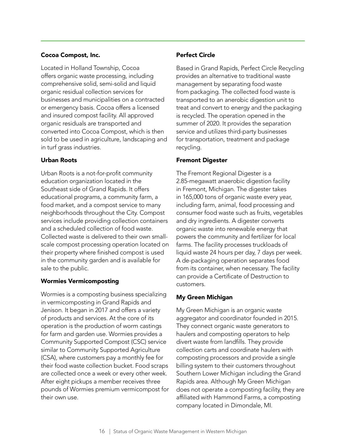#### Cocoa Compost, Inc.

Located in Holland Township, Cocoa offers organic waste processing, including comprehensive solid, semi-solid and liquid organic residual collection services for businesses and municipalities on a contracted or emergency basis. Cocoa offers a licensed and insured compost facility. All approved organic residuals are transported and converted into Cocoa Compost, which is then sold to be used in agriculture, landscaping and in turf grass industries.

#### Urban Roots

Urban Roots is a not-for-profit community education organization located in the Southeast side of Grand Rapids. It offers educational programs, a community farm, a food market, and a compost service to many neighborhoods throughout the City. Compost services include providing collection containers and a scheduled collection of food waste. Collected waste is delivered to their own smallscale compost processing operation located on their property where finished compost is used in the community garden and is available for sale to the public.

#### Wormies Vermicomposting

Wormies is a composting business specializing in vermicomposting in Grand Rapids and Jenison. It began in 2017 and offers a variety of products and services. At the core of its operation is the production of worm castings for farm and garden use. Wormies provides a Community Supported Compost (CSC) service similar to Community Supported Agriculture (CSA), where customers pay a monthly fee for their food waste collection bucket. Food scraps are collected once a week or every other week. After eight pickups a member receives three pounds of Wormies premium vermicompost for their own use.

#### Perfect Circle

Based in Grand Rapids, Perfect Circle Recycling provides an alternative to traditional waste management by separating food waste from packaging. The collected food waste is transported to an anerobic digestion unit to treat and convert to energy and the packaging is recycled. The operation opened in the summer of 2020. It provides the separation service and utilizes third-party businesses for transportation, treatment and package recycling.

#### Fremont Digester

The Fremont Regional Digester is a 2.85-megawatt anaerobic digestion facility in Fremont, Michigan. The digester takes in 165,000 tons of organic waste every year, including farm, animal, food processing and consumer food waste such as fruits, vegetables and dry ingredients. A digester converts organic waste into renewable energy that powers the community and fertilizer for local farms. The facility processes truckloads of liquid waste 24 hours per day, 7 days per week. A de-packaging operation separates food from its container, when necessary. The facility can provide a Certificate of Destruction to customers.

#### My Green Michigan

My Green Michigan is an organic waste aggregator and coordinator founded in 2015. They connect organic waste generators to haulers and composting operators to help divert waste from landfills. They provide collection carts and coordinate haulers with composting processors and provide a single billing system to their customers throughout Southern Lower Michigan including the Grand Rapids area. Although My Green Michigan does not operate a composting facility, they are affiliated with Hammond Farms, a composting company located in Dimondale, MI.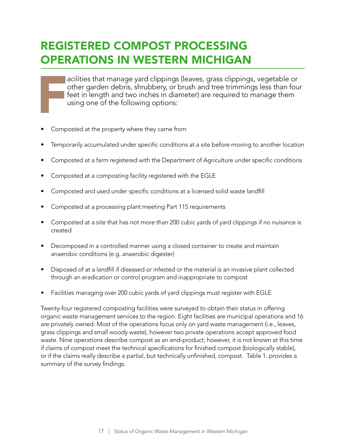### REGISTERED COMPOST PROCESSING OPERATIONS IN WESTERN MICHIGAN

acilities that manage yard clippings (leaves, grass clippings, vegetable or other garden debris, shrubbery, or brush and tree trimmings less than four feet in length and two inches in diameter) are required to manage them using one of the following options:

- Composted at the property where they came from
- Temporarily accumulated under specific conditions at a site before moving to another location
- Composted at a farm registered with the Department of Agriculture under specific conditions
- Composted at a composting facility registered with the EGLE
- Composted and used under specific conditions at a licensed solid waste landfill
- Composted at a processing plant meeting Part 115 requirements
- Composted at a site that has not more than 200 cubic yards of yard clippings if no nuisance is created
- Decomposed in a controlled manner using a closed container to create and maintain anaerobic conditions (e.g. anaerobic digester)
- Disposed of at a landfill if diseased or infested or the material is an invasive plant collected through an eradication or control program and inappropriate to compost
- Facilities managing over 200 cubic yards of yard clippings must register with EGLE

Twenty-four registered composting facilities were surveyed to obtain their status in offering organic waste management services to the region. Eight facilities are municipal operations and 16 are privately owned. Most of the operations focus only on yard waste management (i.e., leaves, grass clippings and small woody waste), however two private operations accept approved food waste. Nine operations describe compost as an end-product; however, it is not known at this time if claims of compost meet the technical specifications for finished compost (biologically stable), or if the claims really describe a partial, but technically unfinished, compost. Table 1. provides a summary of the survey findings.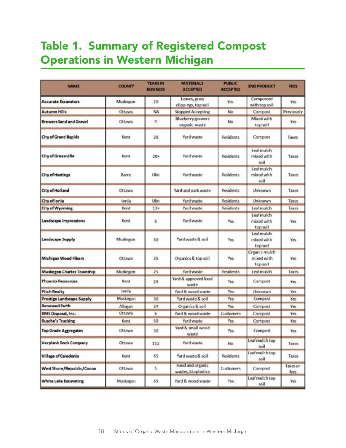### Table 1. Summary of Registered Compost Operations in Western Michigan

| <b>NAME</b>                    | <b>COUNTY</b>  | <b>YEARS IN</b><br><b>BUSINESS</b> | <b>MATERIALS</b><br><b>ACCEPTED</b>     | <b>PUBLIC</b><br><b>ACCEPTED</b> | <b>END PRODUCT</b>                      | <b>FEES</b>      |
|--------------------------------|----------------|------------------------------------|-----------------------------------------|----------------------------------|-----------------------------------------|------------------|
| <b>Accurate Excavators</b>     | Musicegon      | 20                                 | Leaves, grass<br>clippings, top soil    | Yes.                             | Composted<br>with top soil              | Yes.             |
| <b>Autumn Hills</b>            | Ottawa         | NA.                                | <b>Stopped Accepting</b>                | No                               | Compost                                 | Previously       |
| <b>Brewers Sand and Gravel</b> | Ottawa         | 9                                  | Blueberry growers<br>organic waste      | No                               | Mixed with<br>top soil                  | Yes              |
| <b>City of Grand Rapids</b>    | Kent           | 28                                 | Yard waste                              | <b>Residents</b>                 | Compost                                 | Taxes            |
| City of Greenville             | Kent           | 20+                                | Yard waste                              | <b>Residents</b>                 | Leaf mulch<br>mixed with<br>soil        | <b>Taxes</b>     |
| <b>City of Hastings</b>        | Barry          | Ukn                                | Yard waste                              | Residents                        | Leaf mulch<br>mixed with<br>toil        | Taxes            |
| City of Holland                | Ottawa         |                                    | Yard and park waste                     | <b>Residents</b>                 | Unknown                                 | Taxes            |
| City of Ionia                  | lonia          | Ukn                                | Yard waste                              | <b>Residents</b>                 | Unknown                                 | <b>Taxes</b>     |
| City of Wyoming                | Kent           | $13*$                              | Yard waste                              | <b>Residents</b>                 | Leaf mulch                              | Taxes            |
| Landscape Impressions          | Kent           | 6                                  | Yard waste                              | Yes                              | Leaf mulch<br>mixed with<br>top soil    | Yes              |
| Landscape Supply               | Muskegon       | 30                                 | Yard waste & soil                       | Yes                              | Leaf mulch<br>mixed with<br>top soil    | Yes              |
| Michigan Wood Fibers           | Ottawa         | 25                                 | Organics & top soil                     | Yes                              | Organic mulch<br>mixed with<br>top soil | Yes              |
| Muskegon Charter Township      | Muskegon       | 25                                 | Yard waste                              | Residents                        | Les! mulch                              | Taxes            |
| <b>Phoenix Resources</b>       | Kent.          | 29                                 | Yard & approved food<br>waste           | Yes                              | Compost                                 | Yes              |
| <b>Pitch Realty</b>            | lonia          |                                    | Yard & wood waste                       | Yes                              | Unknown                                 | Yes              |
| Prestige Landscape Supply      | Muskegon       | 30                                 | Yard waste & soil                       | Yes                              | Compost                                 | Yes              |
| <b>Renewed Earth</b>           | <b>Allegan</b> | 24                                 | Organics & soil                         | Yes                              | Compost                                 | Yes              |
| RMS Disposal, Inc.             | Ottawa         | 6                                  | Yard & wood waste                       | Customers                        | Compost                                 | Yes.             |
| <b>Rusche's Trucking</b>       | Kent           | 50                                 | Yard waste                              | Yes                              | Compost                                 | Yes              |
| <b>Too Grade Aggregates</b>    | Ottawa         | 30                                 | Yard & small wood<br>waste              | Yes                              | Compost                                 | Yes              |
| Verplank Dock Company          | Ottawa         | 112                                | Yard waste                              | <b>No</b>                        | Leaf mulch top<br>soil                  | Taxes            |
| <b>Village of Caledonia</b>    | Kent           | 45.                                | Yard waste & soil                       | <b>Residents</b>                 | Leaf mulch top<br>lioe                  | Taxes            |
| West Shore/Republic/Cocoa      | Ottawa         | 5.                                 | Food and organic<br>wastes, bioplastics | Customers                        | Compost                                 | Taxes or<br>fees |
| White Lake Excavating          | Muskegon       | 35                                 | Yard & wood waste                       | Yes.                             | Leaf mulch top<br>soil                  | Yes              |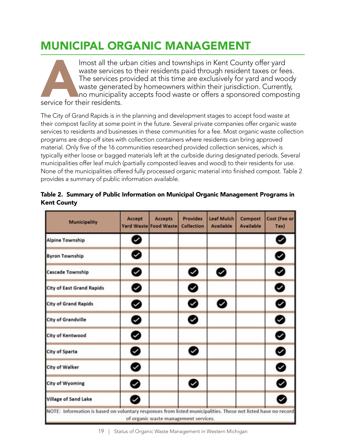### MUNICIPAL ORGANIC MANAGEMENT

Imost all the urban cities and townships in Kent County offer yard<br>waste services to their residents paid through resident taxes or fee<br>The services provided at this time are exclusively for yard and woo<br>waste generated by waste services to their residents paid through resident taxes or fees. The services provided at this time are exclusively for yard and woody waste generated by homeowners within their jurisdiction. Currently, no municipality accepts food waste or offers a sponsored composting service for their residents.

The City of Grand Rapids is in the planning and development stages to accept food waste at their compost facility at some point in the future. Several private companies offer organic waste services to residents and businesses in these communities for a fee. Most organic waste collection programs are drop-off sites with collection containers where residents can bring approved material. Only five of the 16 communities researched provided collection services, which is typically either loose or bagged materials left at the curbside during designated periods. Several municipalities offer leaf mulch (partially composted leaves and wood) to their residents for use. None of the municipalities offered fully processed organic material into finished compost. Table 2 provides a summary of public information available.

| <b>Municipality</b>              | Accept | <b>Accepts</b><br><b>Yard Waste Food Waste</b> | <b>Provides</b><br><b>Collection</b> | Leaf Mulch<br><b>Available</b> | Compost<br><b>Available</b> | Cost (Fee or<br>Tax) |
|----------------------------------|--------|------------------------------------------------|--------------------------------------|--------------------------------|-----------------------------|----------------------|
| <b>Alpine Township</b>           | Ø      |                                                |                                      |                                |                             | Ø                    |
| <b>Byron Township</b>            | 0      |                                                |                                      |                                |                             | ◎                    |
| <b>Cascade Township</b>          | ❷      |                                                | ◉                                    | ◎                              |                             | ◙                    |
| <b>City of East Grand Rapids</b> | ❷      |                                                | ◎                                    |                                |                             | ◎                    |
| <b>City of Grand Rapids</b>      | ❷      |                                                | ❷                                    | ❷                              |                             | ◎                    |
| <b>City of Grandville</b>        | ⊗      |                                                | ◎                                    |                                |                             | ◎                    |
| City of Kentwood                 | ❷      |                                                |                                      |                                |                             | ◎                    |
| <b>City of Sparta</b>            | ❷      |                                                | ⊗                                    |                                |                             | ◎                    |
| <b>City of Walker</b>            | ◉      |                                                |                                      |                                |                             | ◎                    |
| <b>City of Wyoming</b>           | ◉      |                                                | ⊗                                    |                                |                             | ୭                    |
| <b>Village of Sand Lake</b>      | ❷      |                                                |                                      |                                |                             | ◙                    |

|             | Table 2. Summary of Public Information on Municipal Organic Management Programs in |
|-------------|------------------------------------------------------------------------------------|
| Kent County |                                                                                    |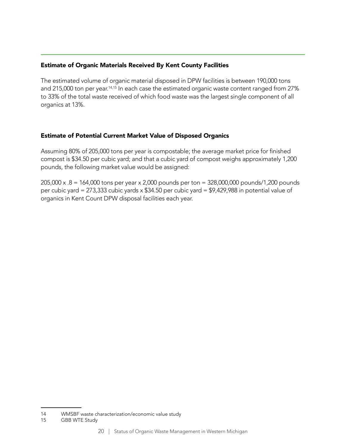#### Estimate of Organic Materials Received By Kent County Facilities

The estimated volume of organic material disposed in DPW facilities is between 190,000 tons and 215,000 ton per year.<sup>14,15</sup> In each case the estimated organic waste content ranged from 27% to 33% of the total waste received of which food waste was the largest single component of all organics at 13%.

#### Estimate of Potential Current Market Value of Disposed Organics

Assuming 80% of 205,000 tons per year is compostable; the average market price for finished compost is \$34.50 per cubic yard; and that a cubic yard of compost weighs approximately 1,200 pounds, the following market value would be assigned:

205,000 x .8 = 164,000 tons per year x 2,000 pounds per ton = 328,000,000 pounds/1,200 pounds per cubic yard = 273,333 cubic yards x \$34.50 per cubic yard = \$9,429,988 in potential value of organics in Kent Count DPW disposal facilities each year.

<sup>14</sup> WMSBF waste characterization/economic value study

<sup>15</sup> GBB WTE Study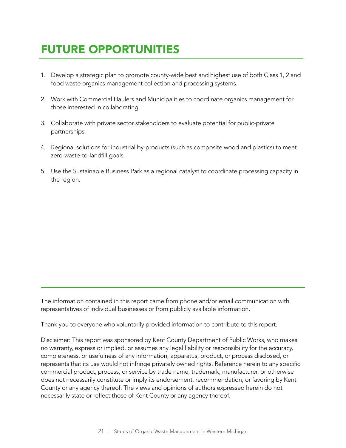### FUTURE OPPORTUNITIES

- 1. Develop a strategic plan to promote county-wide best and highest use of both Class 1, 2 and food waste organics management collection and processing systems.
- 2. Work with Commercial Haulers and Municipalities to coordinate organics management for those interested in collaborating.
- 3. Collaborate with private sector stakeholders to evaluate potential for public-private partnerships.
- 4. Regional solutions for industrial by-products (such as composite wood and plastics) to meet zero-waste-to-landfill goals.
- 5. Use the Sustainable Business Park as a regional catalyst to coordinate processing capacity in the region.

The information contained in this report came from phone and/or email communication with representatives of individual businesses or from publicly available information.

Thank you to everyone who voluntarily provided information to contribute to this report.

Disclaimer: This report was sponsored by Kent County Department of Public Works, who makes no warranty, express or implied, or assumes any legal liability or responsibility for the accuracy, completeness, or usefulness of any information, apparatus, product, or process disclosed, or represents that its use would not infringe privately owned rights. Reference herein to any specific commercial product, process, or service by trade name, trademark, manufacturer, or otherwise does not necessarily constitute or imply its endorsement, recommendation, or favoring by Kent County or any agency thereof. The views and opinions of authors expressed herein do not necessarily state or reflect those of Kent County or any agency thereof.